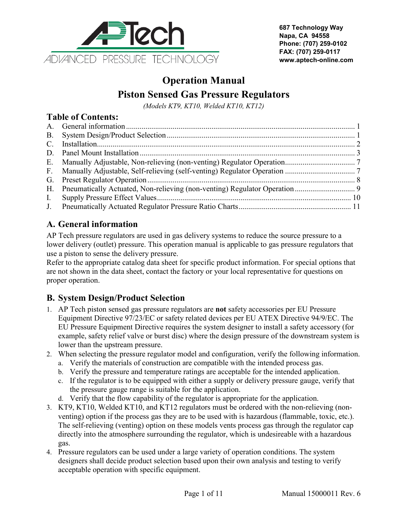

**687 Technology Way Napa, CA 94558 Phone: (707) 259-0102 FAX: (707) 259-0117 www.aptech-online.com**

# **Operation Manual Piston Sensed Gas Pressure Regulators**

*(Models KT9, KT10, Welded KT10, KT12)*

#### **Table of Contents:**

| H. Pneumatically Actuated, Non-relieving (non-venting) Regulator Operation |  |
|----------------------------------------------------------------------------|--|
|                                                                            |  |
|                                                                            |  |

## <span id="page-0-0"></span>**A. General information**

AP Tech pressure regulators are used in gas delivery systems to reduce the source pressure to a lower delivery (outlet) pressure. This operation manual is applicable to gas pressure regulators that use a piston to sense the delivery pressure.

Refer to the appropriate catalog data sheet for specific product information. For special options that are not shown in the data sheet, contact the factory or your local representative for questions on proper operation.

#### <span id="page-0-1"></span>**B. System Design/Product Selection**

- 1. AP Tech piston sensed gas pressure regulators are **not** safety accessories per EU Pressure Equipment Directive 97/23/EC or safety related devices per EU ATEX Directive 94/9/EC. The EU Pressure Equipment Directive requires the system designer to install a safety accessory (for example, safety relief valve or burst disc) where the design pressure of the downstream system is lower than the upstream pressure.
- 2. When selecting the pressure regulator model and configuration, verify the following information.
	- a. Verify the materials of construction are compatible with the intended process gas.
	- b. Verify the pressure and temperature ratings are acceptable for the intended application.
	- c. If the regulator is to be equipped with either a supply or delivery pressure gauge, verify that the pressure gauge range is suitable for the application.
	- d. Verify that the flow capability of the regulator is appropriate for the application.
- 3. KT9, KT10, Welded KT10, and KT12 regulators must be ordered with the non-relieving (nonventing) option if the process gas they are to be used with is hazardous (flammable, toxic, etc.). The self-relieving (venting) option on these models vents process gas through the regulator cap directly into the atmosphere surrounding the regulator, which is undesireable with a hazardous gas.
- 4. Pressure regulators can be used under a large variety of operation conditions. The system designers shall decide product selection based upon their own analysis and testing to verify acceptable operation with specific equipment.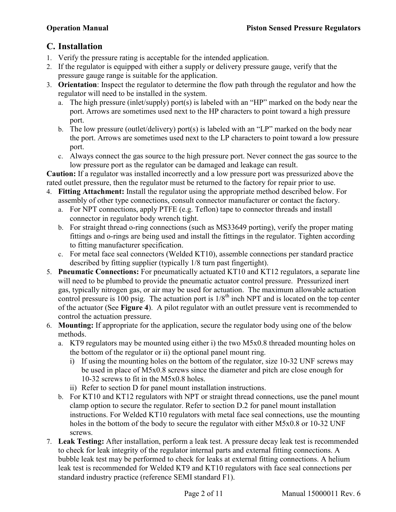## <span id="page-1-0"></span>**C. Installation**

- 1. Verify the pressure rating is acceptable for the intended application.
- 2. If the regulator is equipped with either a supply or delivery pressure gauge, verify that the pressure gauge range is suitable for the application.
- 3. **Orientation**: Inspect the regulator to determine the flow path through the regulator and how the regulator will need to be installed in the system.
	- a. The high pressure (inlet/supply) port(s) is labeled with an "HP" marked on the body near the port. Arrows are sometimes used next to the HP characters to point toward a high pressure port.
	- b. The low pressure (outlet/delivery) port(s) is labeled with an "LP" marked on the body near the port. Arrows are sometimes used next to the LP characters to point toward a low pressure port.
	- c. Always connect the gas source to the high pressure port. Never connect the gas source to the low pressure port as the regulator can be damaged and leakage can result.

**Caution:** If a regulator was installed incorrectly and a low pressure port was pressurized above the rated outlet pressure, then the regulator must be returned to the factory for repair prior to use.

- 4. **Fitting Attachment:** Install the regulator using the appropriate method described below. For assembly of other type connections, consult connector manufacturer or contact the factory.
	- a. For NPT connections, apply PTFE (e.g. Teflon) tape to connector threads and install connector in regulator body wrench tight.
	- b. For straight thread o-ring connections (such as MS33649 porting), verify the proper mating fittings and o-rings are being used and install the fittings in the regulator. Tighten according to fitting manufacturer specification.
	- c. For metal face seal connectors (Welded KT10), assemble connections per standard practice described by fitting supplier (typically 1/8 turn past fingertight).
- 5. **Pneumatic Connections:** For pneumatically actuated KT10 and KT12 regulators, a separate line will need to be plumbed to provide the pneumatic actuator control pressure. Pressurized inert gas, typically nitrogen gas, or air may be used for actuation. The maximum allowable actuation control pressure is 100 psig. The actuation port is  $1/8<sup>th</sup>$  inch NPT and is located on the top center of the actuator (See **[Figure 4](#page-5-0)**). A pilot regulator with an outlet pressure vent is recommended to control the actuation pressure.
- 6. **Mounting:** If appropriate for the application, secure the regulator body using one of the below methods.
	- a. KT9 regulators may be mounted using either i) the two M5x0.8 threaded mounting holes on the bottom of the regulator or ii) the optional panel mount ring.
		- i) If using the mounting holes on the bottom of the regulator, size 10-32 UNF screws may be used in place of M5x0.8 screws since the diameter and pitch are close enough for 10-32 screws to fit in the M5x0.8 holes.
		- ii) Refer to section [D](#page-1-1) for panel mount installation instructions.
	- b. For KT10 and KT12 regulators with NPT or straight thread connections, use the panel mount clamp option to secure the regulator. Refer to section [D.2](#page-3-0) for panel mount installation instructions. For Welded KT10 regulators with metal face seal connections, use the mounting holes in the bottom of the body to secure the regulator with either M5x0.8 or 10-32 UNF screws.
- <span id="page-1-1"></span>7. **Leak Testing:** After installation, perform a leak test. A pressure decay leak test is recommended to check for leak integrity of the regulator internal parts and external fitting connections. A bubble leak test may be performed to check for leaks at external fitting connections. A helium leak test is recommended for Welded KT9 and KT10 regulators with face seal connections per standard industry practice (reference SEMI standard F1).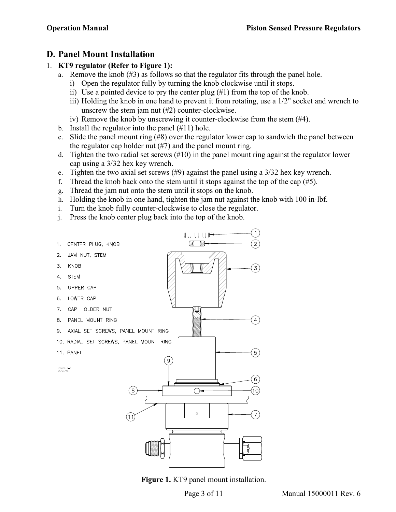### <span id="page-2-0"></span>**D. Panel Mount Installation**

#### 1. **KT9 regulator (Refer to [Figure 1\)](#page-2-1):**

- a. Remove the knob (#3) as follows so that the regulator fits through the panel hole.
	- i) Open the regulator fully by turning the knob clockwise until it stops.
	- ii) Use a pointed device to pry the center plug (#1) from the top of the knob.
	- iii) Holding the knob in one hand to prevent it from rotating, use a 1/2" socket and wrench to unscrew the stem jam nut (#2) counter-clockwise.
	- iv) Remove the knob by unscrewing it counter-clockwise from the stem (#4).
- b. Install the regulator into the panel (#11) hole.
- c. Slide the panel mount ring (#8) over the regulator lower cap to sandwich the panel between the regulator cap holder nut (#7) and the panel mount ring.
- d. Tighten the two radial set screws (#10) in the panel mount ring against the regulator lower cap using a 3/32 hex key wrench.
- e. Tighten the two axial set screws  $(\#9)$  against the panel using a  $3/32$  hex key wrench.
- f. Thread the knob back onto the stem until it stops against the top of the cap  $(\#5)$ .
- g. Thread the jam nut onto the stem until it stops on the knob.
- h. Holding the knob in one hand, tighten the jam nut against the knob with 100 in·lbf.
- i. Turn the knob fully counter-clockwise to close the regulator.
- j. Press the knob center plug back into the top of the knob.



<span id="page-2-1"></span>**Figure 1.** KT9 panel mount installation.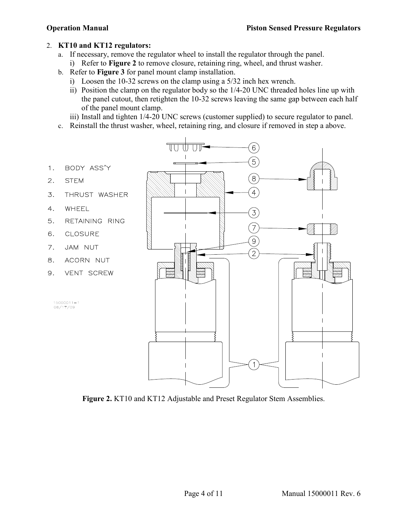#### <span id="page-3-2"></span><span id="page-3-0"></span>2. **KT10 and KT12 regulators:**

- a. If necessary, remove the regulator wheel to install the regulator through the panel.
	- i) Refer to **[Figure 2](#page-3-1)** to remove closure, retaining ring, wheel, and thrust washer.
- b. Refer to **[Figure 3](#page-4-0)** for panel mount clamp installation.
	- i) Loosen the 10-32 screws on the clamp using a 5/32 inch hex wrench.
	- ii) Position the clamp on the regulator body so the 1/4-20 UNC threaded holes line up with the panel cutout, then retighten the 10-32 screws leaving the same gap between each half of the panel mount clamp.

iii) Install and tighten 1/4-20 UNC screws (customer supplied) to secure regulator to panel.

- c. Reinstall the thrust washer, wheel, retaining ring, and closure if removed in step [a above.](#page-3-2)
- BODY ASS'Y  $1.$
- $2.$ **STEM**
- 3. THRUST WASHER
- $4.$ WHEEL
- 5. RETAINING RING
- CLOSURE 6.
- 7. JAM NUT
- 8. ACORN NUT
- 9. VENT SCREW





<span id="page-3-1"></span>**Figure 2.** KT10 and KT12 Adjustable and Preset Regulator Stem Assemblies.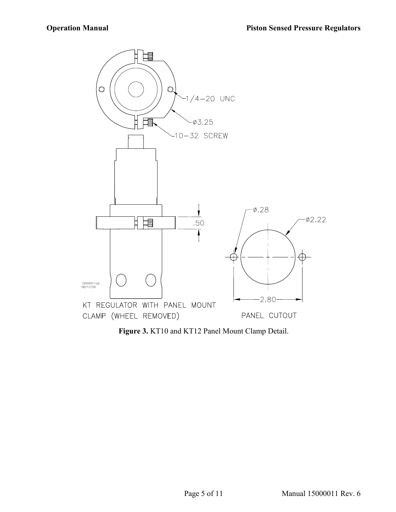

<span id="page-4-0"></span>**Figure 3.** KT10 and KT12 Panel Mount Clamp Detail.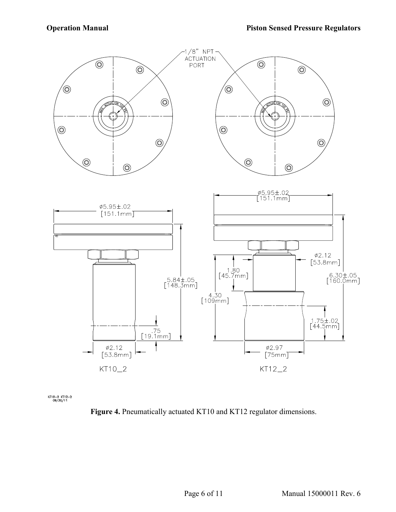

<span id="page-5-0"></span>KT10-2 KT12-2<br>09/30/11

**Figure 4.** Pneumatically actuated KT10 and KT12 regulator dimensions.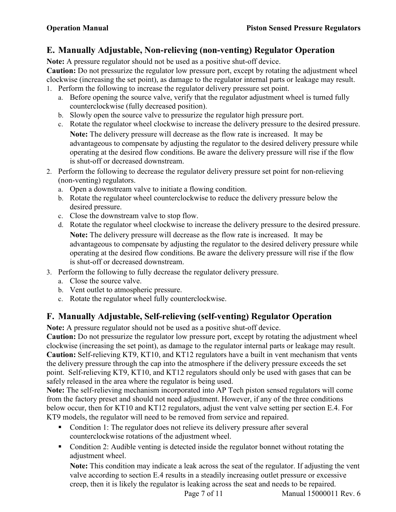## <span id="page-6-0"></span>**E. Manually Adjustable, Non-relieving (non-venting) Regulator Operation**

**Note:** A pressure regulator should not be used as a positive shut-off device.

**Caution:** Do not pressurize the regulator low pressure port, except by rotating the adjustment wheel clockwise (increasing the set point), as damage to the regulator internal parts or leakage may result.

- 1. Perform the following to increase the regulator delivery pressure set point.
	- a. Before opening the source valve, verify that the regulator adjustment wheel is turned fully counterclockwise (fully decreased position).
	- b. Slowly open the source valve to pressurize the regulator high pressure port.
	- c. Rotate the regulator wheel clockwise to increase the delivery pressure to the desired pressure. **Note:** The delivery pressure will decrease as the flow rate is increased. It may be advantageous to compensate by adjusting the regulator to the desired delivery pressure while operating at the desired flow conditions. Be aware the delivery pressure will rise if the flow is shut-off or decreased downstream.
- 2. Perform the following to decrease the regulator delivery pressure set point for non-relieving (non-venting) regulators.
	- a. Open a downstream valve to initiate a flowing condition.
	- b. Rotate the regulator wheel counterclockwise to reduce the delivery pressure below the desired pressure.
	- c. Close the downstream valve to stop flow.
	- d. Rotate the regulator wheel clockwise to increase the delivery pressure to the desired pressure. **Note:** The delivery pressure will decrease as the flow rate is increased. It may be advantageous to compensate by adjusting the regulator to the desired delivery pressure while operating at the desired flow conditions. Be aware the delivery pressure will rise if the flow is shut-off or decreased downstream.
- 3. Perform the following to fully decrease the regulator delivery pressure.
	- a. Close the source valve.
	- b. Vent outlet to atmospheric pressure.
	- c. Rotate the regulator wheel fully counterclockwise.

#### <span id="page-6-1"></span>**F. Manually Adjustable, Self-relieving (self-venting) Regulator Operation**

**Note:** A pressure regulator should not be used as a positive shut-off device.

**Caution:** Do not pressurize the regulator low pressure port, except by rotating the adjustment wheel clockwise (increasing the set point), as damage to the regulator internal parts or leakage may result. **Caution:** Self-relieving KT9, KT10, and KT12 regulators have a built in vent mechanism that vents the delivery pressure through the cap into the atmosphere if the delivery pressure exceeds the set point. Self-relieving KT9, KT10, and KT12 regulators should only be used with gases that can be safely released in the area where the regulator is being used.

**Note:** The self-relieving mechanism incorporated into AP Tech piston sensed regulators will come from the factory preset and should not need adjustment. However, if any of the three conditions below occur, then for KT10 and KT12 regulators, adjust the vent valve setting per section [E.4.](#page-7-1) For KT9 models, the regulator will need to be removed from service and repaired.

- Condition 1: The regulator does not relieve its delivery pressure after several counterclockwise rotations of the adjustment wheel.
- Condition 2: Audible venting is detected inside the regulator bonnet without rotating the adjustment wheel.

**Note:** This condition may indicate a leak across the seat of the regulator. If adjusting the vent valve according to section [E.4](#page-7-1) results in a steadily increasing outlet pressure or excessive creep, then it is likely the regulator is leaking across the seat and needs to be repaired.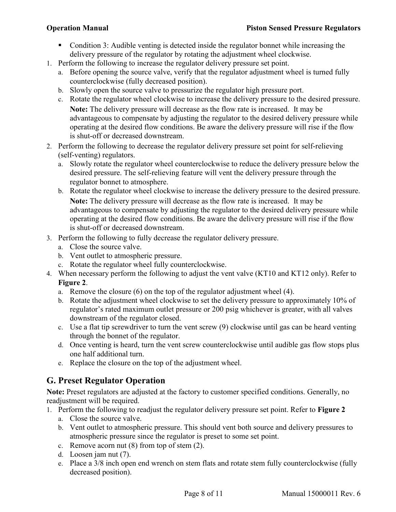- Condition 3: Audible venting is detected inside the regulator bonnet while increasing the delivery pressure of the regulator by rotating the adjustment wheel clockwise.
- 1. Perform the following to increase the regulator delivery pressure set point.
	- a. Before opening the source valve, verify that the regulator adjustment wheel is turned fully counterclockwise (fully decreased position).
	- b. Slowly open the source valve to pressurize the regulator high pressure port.
	- c. Rotate the regulator wheel clockwise to increase the delivery pressure to the desired pressure. **Note:** The delivery pressure will decrease as the flow rate is increased. It may be advantageous to compensate by adjusting the regulator to the desired delivery pressure while operating at the desired flow conditions. Be aware the delivery pressure will rise if the flow is shut-off or decreased downstream.
- 2. Perform the following to decrease the regulator delivery pressure set point for self-relieving (self-venting) regulators.
	- a. Slowly rotate the regulator wheel counterclockwise to reduce the delivery pressure below the desired pressure. The self-relieving feature will vent the delivery pressure through the regulator bonnet to atmosphere.
	- b. Rotate the regulator wheel clockwise to increase the delivery pressure to the desired pressure. **Note:** The delivery pressure will decrease as the flow rate is increased. It may be advantageous to compensate by adjusting the regulator to the desired delivery pressure while operating at the desired flow conditions. Be aware the delivery pressure will rise if the flow is shut-off or decreased downstream.
- 3. Perform the following to fully decrease the regulator delivery pressure.
	- a. Close the source valve.
	- b. Vent outlet to atmospheric pressure.
	- c. Rotate the regulator wheel fully counterclockwise.
- <span id="page-7-1"></span>4. When necessary perform the following to adjust the vent valve (KT10 and KT12 only). Refer to **[Figure 2](#page-3-1)**.
	- a. Remove the closure (6) on the top of the regulator adjustment wheel (4).
	- b. Rotate the adjustment wheel clockwise to set the delivery pressure to approximately 10% of regulator's rated maximum outlet pressure or 200 psig whichever is greater, with all valves downstream of the regulator closed.
	- c. Use a flat tip screwdriver to turn the vent screw (9) clockwise until gas can be heard venting through the bonnet of the regulator.
	- d. Once venting is heard, turn the vent screw counterclockwise until audible gas flow stops plus one half additional turn.
	- e. Replace the closure on the top of the adjustment wheel.

## <span id="page-7-0"></span>**G. Preset Regulator Operation**

**Note:** Preset regulators are adjusted at the factory to customer specified conditions. Generally, no readjustment will be required.

- 1. Perform the following to readjust the regulator delivery pressure set point. Refer to **[Figure 2](#page-3-1)**
	- a. Close the source valve.
	- b. Vent outlet to atmospheric pressure. This should vent both source and delivery pressures to atmospheric pressure since the regulator is preset to some set point.
	- c. Remove acorn nut (8) from top of stem (2).
	- d. Loosen jam nut (7).
	- e. Place a 3/8 inch open end wrench on stem flats and rotate stem fully counterclockwise (fully decreased position).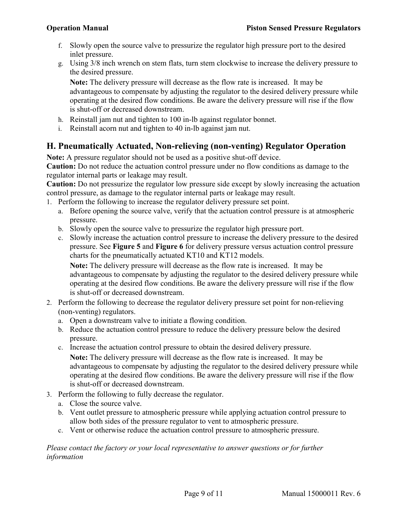- f. Slowly open the source valve to pressurize the regulator high pressure port to the desired inlet pressure.
- g. Using 3/8 inch wrench on stem flats, turn stem clockwise to increase the delivery pressure to the desired pressure.

**Note:** The delivery pressure will decrease as the flow rate is increased. It may be advantageous to compensate by adjusting the regulator to the desired delivery pressure while operating at the desired flow conditions. Be aware the delivery pressure will rise if the flow is shut-off or decreased downstream.

- h. Reinstall jam nut and tighten to 100 in-lb against regulator bonnet.
- i. Reinstall acorn nut and tighten to 40 in-lb against jam nut.

#### <span id="page-8-0"></span>**H. Pneumatically Actuated, Non-relieving (non-venting) Regulator Operation**

**Note:** A pressure regulator should not be used as a positive shut-off device.

**Caution:** Do not reduce the actuation control pressure under no flow conditions as damage to the regulator internal parts or leakage may result.

**Caution:** Do not pressurize the regulator low pressure side except by slowly increasing the actuation control pressure, as damage to the regulator internal parts or leakage may result.

- 1. Perform the following to increase the regulator delivery pressure set point.
	- a. Before opening the source valve, verify that the actuation control pressure is at atmospheric pressure.
	- b. Slowly open the source valve to pressurize the regulator high pressure port.
	- c. Slowly increase the actuation control pressure to increase the delivery pressure to the desired pressure. See **[Figure 5](#page-10-1)** and **[Figure 6](#page-10-2)** for delivery pressure versus actuation control pressure charts for the pneumatically actuated KT10 and KT12 models.

**Note:** The delivery pressure will decrease as the flow rate is increased. It may be advantageous to compensate by adjusting the regulator to the desired delivery pressure while operating at the desired flow conditions. Be aware the delivery pressure will rise if the flow is shut-off or decreased downstream.

- 2. Perform the following to decrease the regulator delivery pressure set point for non-relieving (non-venting) regulators.
	- a. Open a downstream valve to initiate a flowing condition.
	- b. Reduce the actuation control pressure to reduce the delivery pressure below the desired pressure.
	- c. Increase the actuation control pressure to obtain the desired delivery pressure.

**Note:** The delivery pressure will decrease as the flow rate is increased. It may be advantageous to compensate by adjusting the regulator to the desired delivery pressure while operating at the desired flow conditions. Be aware the delivery pressure will rise if the flow is shut-off or decreased downstream.

- 3. Perform the following to fully decrease the regulator.
	- a. Close the source valve.
	- b. Vent outlet pressure to atmospheric pressure while applying actuation control pressure to allow both sides of the pressure regulator to vent to atmospheric pressure.
	- c. Vent or otherwise reduce the actuation control pressure to atmospheric pressure.

#### *Please contact the factory or your local representative to answer questions or for further information*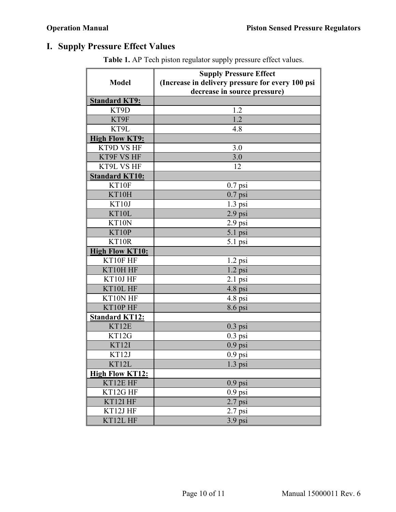# <span id="page-9-0"></span>**I. Supply Pressure Effect Values**

|                        | <b>Supply Pressure Effect</b>                                                    |
|------------------------|----------------------------------------------------------------------------------|
| <b>Model</b>           | (Increase in delivery pressure for every 100 psi<br>decrease in source pressure) |
| <b>Standard KT9:</b>   |                                                                                  |
| KT9D                   | 1.2                                                                              |
| KT9F                   | $\overline{1.2}$                                                                 |
| KT9L                   | 4.8                                                                              |
| <b>High Flow KT9:</b>  |                                                                                  |
| KT9D VS HF             | 3.0                                                                              |
| KT9F VS HF             | 3.0                                                                              |
| KT9L VS HF             | 12                                                                               |
| <b>Standard KT10:</b>  |                                                                                  |
| KT10F                  | $0.7$ psi                                                                        |
| KT10H                  | $0.7$ psi                                                                        |
| KT10J                  | $1.3$ psi                                                                        |
| KT10L                  | $2.9$ psi                                                                        |
| KT10N                  | 2.9 psi                                                                          |
| KT10P                  | $5.1$ psi                                                                        |
| KT10R                  | $5.1$ psi                                                                        |
| <b>High Flow KT10:</b> |                                                                                  |
| KT10F HF               | $1.2$ psi                                                                        |
| KT10HHF                | $1.2$ psi                                                                        |
| KT10JHF                | $2.1$ psi                                                                        |
| KT10L HF               | 4.8 psi                                                                          |
| KT10N HF               | $4.8$ psi                                                                        |
| KT10P HF               | 8.6 psi                                                                          |
| <b>Standard KT12:</b>  |                                                                                  |
| KT12E                  | $0.3$ psi                                                                        |
| KT12G                  | $0.3$ psi                                                                        |
| KT12I                  | $0.9$ psi                                                                        |
| KT12J                  | $0.9$ psi                                                                        |
| KT12L                  | $1.3$ psi                                                                        |
| <b>High Flow KT12:</b> |                                                                                  |
| KT12E HF               | $0.9$ psi                                                                        |
| KT12G HF               | $0.9$ psi                                                                        |
| KT12IHF                | $2.7$ psi                                                                        |
| KT12J HF               | $2.7$ psi                                                                        |
| KT12L HF               | $3.9$ psi                                                                        |

**Table 1.** AP Tech piston regulator supply pressure effect values.